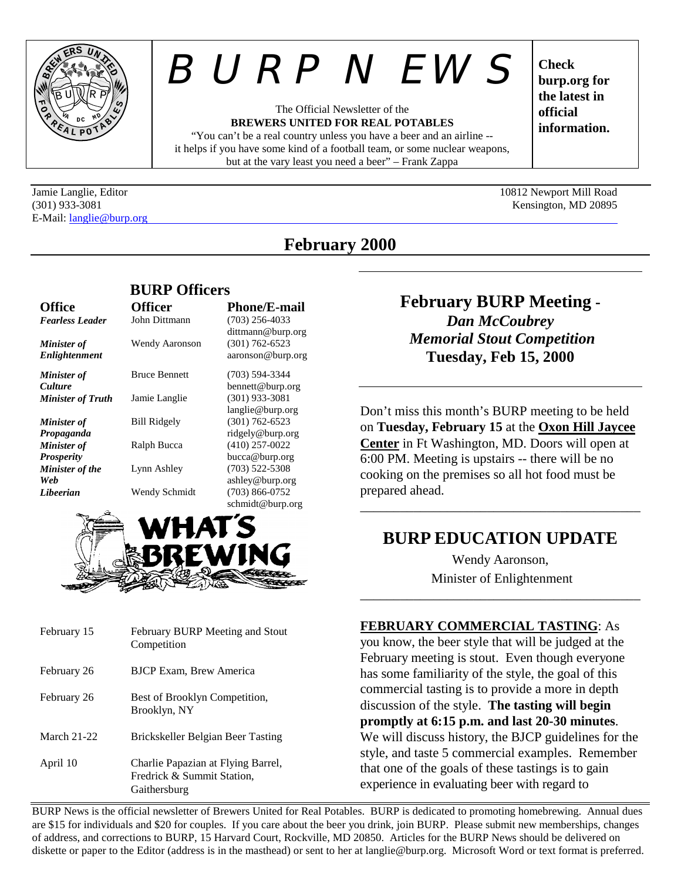

E-Mail: langlie@burp.org

# *BURP NEWS*

The Official Newsletter of the **BREWERS UNITED FOR REAL POTABLES** "You can't be a real country unless you have a beer and an airline --

it helps if you have some kind of a football team, or some nuclear weapons, but at the vary least you need a beer" – Frank Zappa

**Check burp.org for the latest in official information.**

Jamie Langlie, Editor 10812 Newport Mill Road (301) 933-3081 Kensington, MD 20895

# **February 2000**

|                                     | <b>BURP Officers</b> |                                                              |  |
|-------------------------------------|----------------------|--------------------------------------------------------------|--|
| <b>Office</b>                       | <b>Officer</b>       | <b>Phone/E-mail</b>                                          |  |
| <b>Fearless Leader</b>              | John Dittmann        | $(703)$ 256-4033                                             |  |
| <b>Minister of</b><br>Enlightenment | Wendy Aaronson       | dittmann@burp.org<br>$(301) 762 - 6523$<br>aaronson@burp.org |  |
| <b>Minister</b> of                  | <b>Bruce Bennett</b> | $(703)$ 594-3344                                             |  |
| <b>Culture</b>                      |                      | bennett@burp.org                                             |  |
| <b>Minister of Truth</b>            | Jamie Langlie        | $(301)$ 933-3081                                             |  |
|                                     |                      | langlie@burp.org                                             |  |
| <b>Minister</b> of                  | <b>Bill Ridgely</b>  | $(301) 762 - 6523$                                           |  |
| Propaganda                          |                      | ridgely@burp.org                                             |  |
| <b>Minister</b> of                  | Ralph Bucca          | $(410)$ 257-0022                                             |  |
| <b>Prosperity</b>                   |                      | bucca@burp.org                                               |  |
| <b>Minister of the</b>              | Lynn Ashley          | (703) 522-5308                                               |  |
| Web                                 |                      | ashley@burp.org                                              |  |
| Libeerian                           | Wendy Schmidt        | (703) 866-0752                                               |  |
|                                     |                      | schmidt@burp.org                                             |  |



| February 15        | February BURP Meeting and Stout<br>Competition                                   |
|--------------------|----------------------------------------------------------------------------------|
| February 26        | <b>BJCP Exam, Brew America</b>                                                   |
| February 26        | Best of Brooklyn Competition,<br>Brooklyn, NY                                    |
| <b>March 21-22</b> | Brickskeller Belgian Beer Tasting                                                |
| April 10           | Charlie Papazian at Flying Barrel,<br>Fredrick & Summit Station,<br>Gaithersburg |

**February BURP Meeting -** *Dan McCoubrey Memorial Stout Competition* **Tuesday, Feb 15, 2000**

Don't miss this month's BURP meeting to be held on **Tuesday, February 15** at the **Oxon Hill Jaycee Center** in Ft Washington, MD. Doors will open at 6:00 PM. Meeting is upstairs -- there will be no cooking on the premises so all hot food must be prepared ahead.

# **BURP EDUCATION UPDATE**

\_\_\_\_\_\_\_\_\_\_\_\_\_\_\_\_\_\_\_\_\_\_\_\_\_\_\_\_\_\_\_\_\_\_\_\_\_\_\_\_\_\_

Wendy Aaronson, Minister of Enlightenment

\_\_\_\_\_\_\_\_\_\_\_\_\_\_\_\_\_\_\_\_\_\_\_\_\_\_\_\_\_\_\_\_\_\_\_\_\_\_\_\_\_\_

**FEBRUARY COMMERCIAL TASTING**: As

you know, the beer style that will be judged at the February meeting is stout. Even though everyone has some familiarity of the style, the goal of this commercial tasting is to provide a more in depth discussion of the style. **The tasting will begin promptly at 6:15 p.m. and last 20-30 minutes**. We will discuss history, the BJCP guidelines for the style, and taste 5 commercial examples. Remember that one of the goals of these tastings is to gain experience in evaluating beer with regard to

BURP News is the official newsletter of Brewers United for Real Potables. BURP is dedicated to promoting homebrewing. Annual dues are \$15 for individuals and \$20 for couples. If you care about the beer you drink, join BURP. Please submit new memberships, changes of address, and corrections to BURP, 15 Harvard Court, Rockville, MD 20850. Articles for the BURP News should be delivered on diskette or paper to the Editor (address is in the masthead) or sent to her at langlie@burp.org. Microsoft Word or text format is preferred.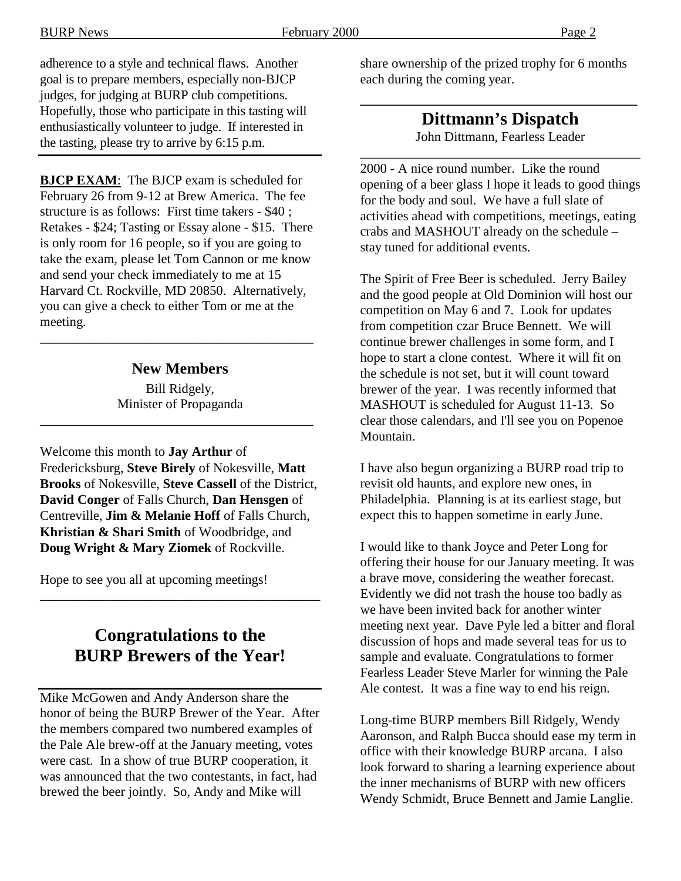BURP News February 2000 Page 2

adherence to a style and technical flaws. Another goal is to prepare members, especially non-BJCP judges, for judging at BURP club competitions. Hopefully, those who participate in this tasting will enthusiastically volunteer to judge. If interested in the tasting, please try to arrive by 6:15 p.m.

**BJCP EXAM**: The BJCP exam is scheduled for February 26 from 9-12 at Brew America. The fee structure is as follows: First time takers - \$40 ; Retakes - \$24; Tasting or Essay alone - \$15. There is only room for 16 people, so if you are going to take the exam, please let Tom Cannon or me know and send your check immediately to me at 15 Harvard Ct. Rockville, MD 20850. Alternatively, you can give a check to either Tom or me at the meeting.

#### **New Members**

\_\_\_\_\_\_\_\_\_\_\_\_\_\_\_\_\_\_\_\_\_\_\_\_\_\_\_\_\_\_\_\_\_\_\_\_\_\_\_\_\_

Bill Ridgely, Minister of Propaganda

\_\_\_\_\_\_\_\_\_\_\_\_\_\_\_\_\_\_\_\_\_\_\_\_\_\_\_\_\_\_\_\_\_\_\_\_\_\_\_\_\_

Welcome this month to **Jay Arthur** of Fredericksburg, **Steve Birely** of Nokesville, **Matt Brooks** of Nokesville, **Steve Cassell** of the District, **David Conger** of Falls Church, **Dan Hensgen** of Centreville, **Jim & Melanie Hoff** of Falls Church, **Khristian & Shari Smith** of Woodbridge, and **Doug Wright & Mary Ziomek** of Rockville.

Hope to see you all at upcoming meetings!

# **Congratulations to the BURP Brewers of the Year!**

\_\_\_\_\_\_\_\_\_\_\_\_\_\_\_\_\_\_\_\_\_\_\_\_\_\_\_\_\_\_\_\_\_\_\_\_\_\_\_\_\_\_

Mike McGowen and Andy Anderson share the honor of being the BURP Brewer of the Year. After the members compared two numbered examples of the Pale Ale brew-off at the January meeting, votes were cast. In a show of true BURP cooperation, it was announced that the two contestants, in fact, had brewed the beer jointly. So, Andy and Mike will

share ownership of the prized trophy for 6 months each during the coming year.

# **Dittmann's Dispatch**

\_\_\_\_\_\_\_\_\_\_\_\_\_\_\_\_\_\_\_\_\_\_\_\_\_\_\_\_\_\_\_

John Dittmann, Fearless Leader \_\_\_\_\_\_\_\_\_\_\_\_\_\_\_\_\_\_\_\_\_\_\_\_\_\_\_\_\_\_\_\_\_\_\_\_\_\_\_\_\_\_

2000 - A nice round number. Like the round opening of a beer glass I hope it leads to good things for the body and soul. We have a full slate of activities ahead with competitions, meetings, eating crabs and MASHOUT already on the schedule – stay tuned for additional events.

The Spirit of Free Beer is scheduled. Jerry Bailey and the good people at Old Dominion will host our competition on May 6 and 7. Look for updates from competition czar Bruce Bennett. We will continue brewer challenges in some form, and I hope to start a clone contest. Where it will fit on the schedule is not set, but it will count toward brewer of the year. I was recently informed that MASHOUT is scheduled for August 11-13. So clear those calendars, and I'll see you on Popenoe Mountain.

I have also begun organizing a BURP road trip to revisit old haunts, and explore new ones, in Philadelphia. Planning is at its earliest stage, but expect this to happen sometime in early June.

I would like to thank Joyce and Peter Long for offering their house for our January meeting. It was a brave move, considering the weather forecast. Evidently we did not trash the house too badly as we have been invited back for another winter meeting next year. Dave Pyle led a bitter and floral discussion of hops and made several teas for us to sample and evaluate. Congratulations to former Fearless Leader Steve Marler for winning the Pale Ale contest. It was a fine way to end his reign.

Long-time BURP members Bill Ridgely, Wendy Aaronson, and Ralph Bucca should ease my term in office with their knowledge BURP arcana. I also look forward to sharing a learning experience about the inner mechanisms of BURP with new officers Wendy Schmidt, Bruce Bennett and Jamie Langlie.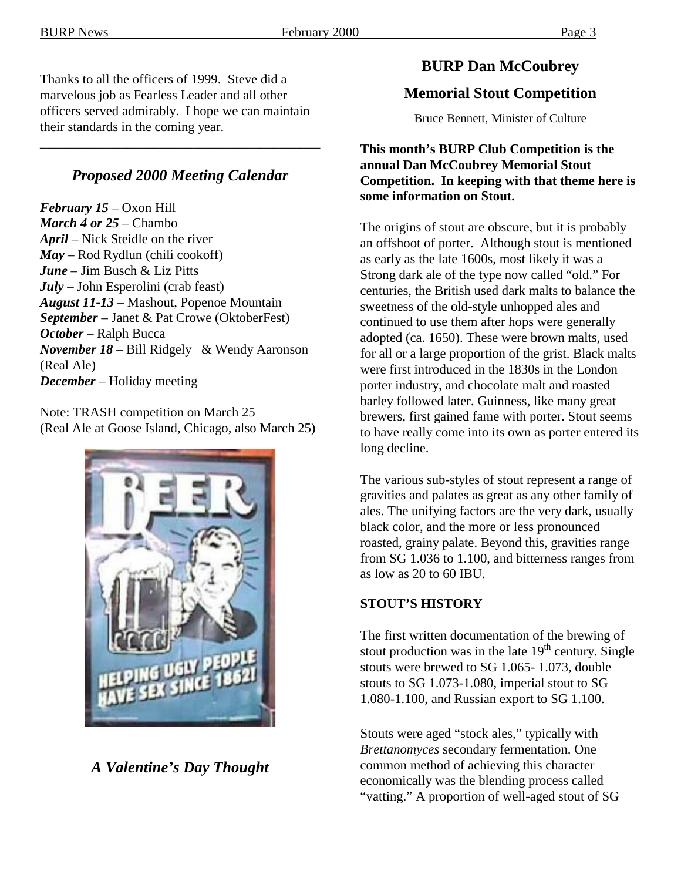Thanks to all the officers of 1999. Steve did a marvelous job as Fearless Leader and all other officers served admirably. I hope we can maintain their standards in the coming year.

#### *Proposed 2000 Meeting Calendar*

\_\_\_\_\_\_\_\_\_\_\_\_\_\_\_\_\_\_\_\_\_\_\_\_\_\_\_\_\_\_\_\_\_\_\_\_\_\_\_\_\_\_

*February 15* – Oxon Hill *March 4 or 25* – Chambo *April* – Nick Steidle on the river *May* – Rod Rydlun (chili cookoff) *June* – Jim Busch & Liz Pitts *July* – John Esperolini (crab feast) *August 11-13* – Mashout, Popenoe Mountain *September* – Janet & Pat Crowe (OktoberFest) *October* – Ralph Bucca *November 18* – Bill Ridgely & Wendy Aaronson (Real Ale) *December* – Holiday meeting

Note: TRASH competition on March 25 (Real Ale at Goose Island, Chicago, also March 25)



*A Valentine's Day Thought*

# **BURP Dan McCoubrey**

# **Memorial Stout Competition**

Bruce Bennett, Minister of Culture

**This month's BURP Club Competition is the annual Dan McCoubrey Memorial Stout Competition. In keeping with that theme here is some information on Stout.**

The origins of stout are obscure, but it is probably an offshoot of porter. Although stout is mentioned as early as the late 1600s, most likely it was a Strong dark ale of the type now called "old." For centuries, the British used dark malts to balance the sweetness of the old-style unhopped ales and continued to use them after hops were generally adopted (ca. 1650). These were brown malts, used for all or a large proportion of the grist. Black malts were first introduced in the 1830s in the London porter industry, and chocolate malt and roasted barley followed later. Guinness, like many great brewers, first gained fame with porter. Stout seems to have really come into its own as porter entered its long decline.

The various sub-styles of stout represent a range of gravities and palates as great as any other family of ales. The unifying factors are the very dark, usually black color, and the more or less pronounced roasted, grainy palate. Beyond this, gravities range from SG 1.036 to 1.100, and bitterness ranges from as low as 20 to 60 IBU.

#### **STOUT'S HISTORY**

The first written documentation of the brewing of stout production was in the late  $19<sup>th</sup>$  century. Single stouts were brewed to SG 1.065- 1.073, double stouts to SG 1.073-1.080, imperial stout to SG 1.080-1.100, and Russian export to SG 1.100.

Stouts were aged "stock ales," typically with *Brettanomyces* secondary fermentation. One common method of achieving this character economically was the blending process called "vatting." A proportion of well-aged stout of SG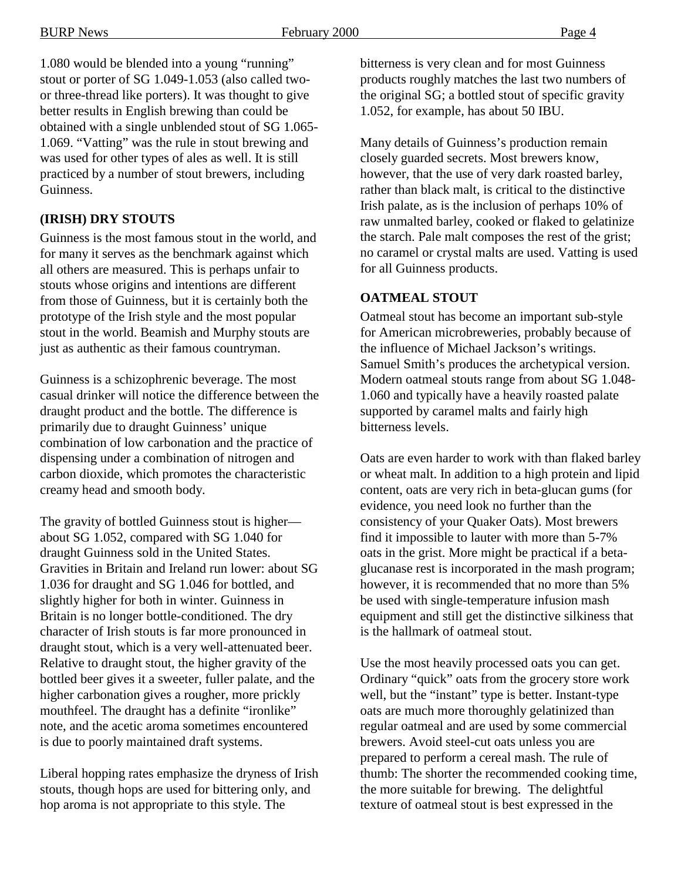1.080 would be blended into a young "running" stout or porter of SG 1.049-1.053 (also called twoor three-thread like porters). It was thought to give better results in English brewing than could be obtained with a single unblended stout of SG 1.065- 1.069. "Vatting" was the rule in stout brewing and was used for other types of ales as well. It is still practiced by a number of stout brewers, including Guinness.

#### **(IRISH) DRY STOUTS**

Guinness is the most famous stout in the world, and for many it serves as the benchmark against which all others are measured. This is perhaps unfair to stouts whose origins and intentions are different from those of Guinness, but it is certainly both the prototype of the Irish style and the most popular stout in the world. Beamish and Murphy stouts are just as authentic as their famous countryman.

Guinness is a schizophrenic beverage. The most casual drinker will notice the difference between the draught product and the bottle. The difference is primarily due to draught Guinness' unique combination of low carbonation and the practice of dispensing under a combination of nitrogen and carbon dioxide, which promotes the characteristic creamy head and smooth body.

The gravity of bottled Guinness stout is higher about SG 1.052, compared with SG 1.040 for draught Guinness sold in the United States. Gravities in Britain and Ireland run lower: about SG 1.036 for draught and SG 1.046 for bottled, and slightly higher for both in winter. Guinness in Britain is no longer bottle-conditioned. The dry character of Irish stouts is far more pronounced in draught stout, which is a very well-attenuated beer. Relative to draught stout, the higher gravity of the bottled beer gives it a sweeter, fuller palate, and the higher carbonation gives a rougher, more prickly mouthfeel. The draught has a definite "ironlike" note, and the acetic aroma sometimes encountered is due to poorly maintained draft systems.

Liberal hopping rates emphasize the dryness of Irish stouts, though hops are used for bittering only, and hop aroma is not appropriate to this style. The

bitterness is very clean and for most Guinness products roughly matches the last two numbers of the original SG; a bottled stout of specific gravity 1.052, for example, has about 50 IBU.

Many details of Guinness's production remain closely guarded secrets. Most brewers know, however, that the use of very dark roasted barley, rather than black malt, is critical to the distinctive Irish palate, as is the inclusion of perhaps 10% of raw unmalted barley, cooked or flaked to gelatinize the starch. Pale malt composes the rest of the grist; no caramel or crystal malts are used. Vatting is used for all Guinness products.

#### **OATMEAL STOUT**

Oatmeal stout has become an important sub-style for American microbreweries, probably because of the influence of Michael Jackson's writings. Samuel Smith's produces the archetypical version. Modern oatmeal stouts range from about SG 1.048- 1.060 and typically have a heavily roasted palate supported by caramel malts and fairly high bitterness levels.

Oats are even harder to work with than flaked barley or wheat malt. In addition to a high protein and lipid content, oats are very rich in beta-glucan gums (for evidence, you need look no further than the consistency of your Quaker Oats). Most brewers find it impossible to lauter with more than 5-7% oats in the grist. More might be practical if a betaglucanase rest is incorporated in the mash program; however, it is recommended that no more than 5% be used with single-temperature infusion mash equipment and still get the distinctive silkiness that is the hallmark of oatmeal stout.

Use the most heavily processed oats you can get. Ordinary "quick" oats from the grocery store work well, but the "instant" type is better. Instant-type oats are much more thoroughly gelatinized than regular oatmeal and are used by some commercial brewers. Avoid steel-cut oats unless you are prepared to perform a cereal mash. The rule of thumb: The shorter the recommended cooking time, the more suitable for brewing. The delightful texture of oatmeal stout is best expressed in the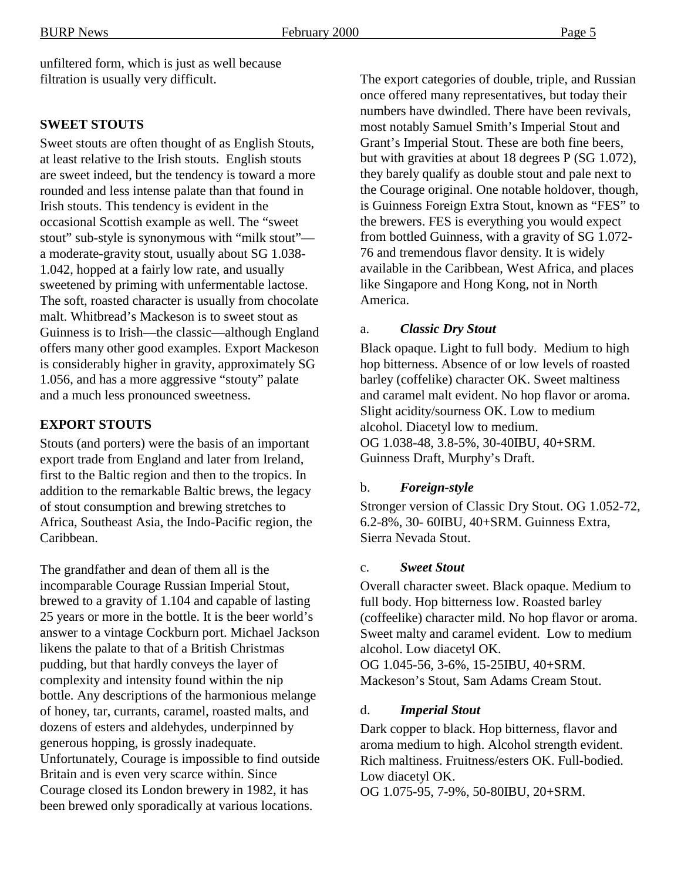unfiltered form, which is just as well because filtration is usually very difficult.

## **SWEET STOUTS**

Sweet stouts are often thought of as English Stouts, at least relative to the Irish stouts. English stouts are sweet indeed, but the tendency is toward a more rounded and less intense palate than that found in Irish stouts. This tendency is evident in the occasional Scottish example as well. The "sweet stout" sub-style is synonymous with "milk stout" a moderate-gravity stout, usually about SG 1.038- 1.042, hopped at a fairly low rate, and usually sweetened by priming with unfermentable lactose. The soft, roasted character is usually from chocolate malt. Whitbread's Mackeson is to sweet stout as Guinness is to Irish—the classic—although England offers many other good examples. Export Mackeson is considerably higher in gravity, approximately SG 1.056, and has a more aggressive "stouty" palate and a much less pronounced sweetness.

#### **EXPORT STOUTS**

Stouts (and porters) were the basis of an important export trade from England and later from Ireland, first to the Baltic region and then to the tropics. In addition to the remarkable Baltic brews, the legacy of stout consumption and brewing stretches to Africa, Southeast Asia, the Indo-Pacific region, the Caribbean.

The grandfather and dean of them all is the incomparable Courage Russian Imperial Stout, brewed to a gravity of 1.104 and capable of lasting 25 years or more in the bottle. It is the beer world's answer to a vintage Cockburn port. Michael Jackson likens the palate to that of a British Christmas pudding, but that hardly conveys the layer of complexity and intensity found within the nip bottle. Any descriptions of the harmonious melange of honey, tar, currants, caramel, roasted malts, and dozens of esters and aldehydes, underpinned by generous hopping, is grossly inadequate. Unfortunately, Courage is impossible to find outside Britain and is even very scarce within. Since Courage closed its London brewery in 1982, it has been brewed only sporadically at various locations.

The export categories of double, triple, and Russian once offered many representatives, but today their numbers have dwindled. There have been revivals, most notably Samuel Smith's Imperial Stout and Grant's Imperial Stout. These are both fine beers, but with gravities at about 18 degrees P (SG 1.072), they barely qualify as double stout and pale next to the Courage original. One notable holdover, though, is Guinness Foreign Extra Stout, known as "FES" to the brewers. FES is everything you would expect from bottled Guinness, with a gravity of SG 1.072- 76 and tremendous flavor density. It is widely available in the Caribbean, West Africa, and places like Singapore and Hong Kong, not in North America.

#### a. *Classic Dry Stout*

Black opaque. Light to full body. Medium to high hop bitterness. Absence of or low levels of roasted barley (coffelike) character OK. Sweet maltiness and caramel malt evident. No hop flavor or aroma. Slight acidity/sourness OK. Low to medium alcohol. Diacetyl low to medium. OG 1.038-48, 3.8-5%, 30-40IBU, 40+SRM. Guinness Draft, Murphy's Draft.

#### b. *Foreign-style*

Stronger version of Classic Dry Stout. OG 1.052-72, 6.2-8%, 30- 60IBU, 40+SRM. Guinness Extra, Sierra Nevada Stout.

#### c. *Sweet Stout*

Overall character sweet. Black opaque. Medium to full body. Hop bitterness low. Roasted barley (coffeelike) character mild. No hop flavor or aroma. Sweet malty and caramel evident. Low to medium alcohol. Low diacetyl OK. OG 1.045-56, 3-6%, 15-25IBU, 40+SRM.

Mackeson's Stout, Sam Adams Cream Stout.

#### d. *Imperial Stout*

Dark copper to black. Hop bitterness, flavor and aroma medium to high. Alcohol strength evident. Rich maltiness. Fruitness/esters OK. Full-bodied. Low diacetyl OK.

OG 1.075-95, 7-9%, 50-80IBU, 20+SRM.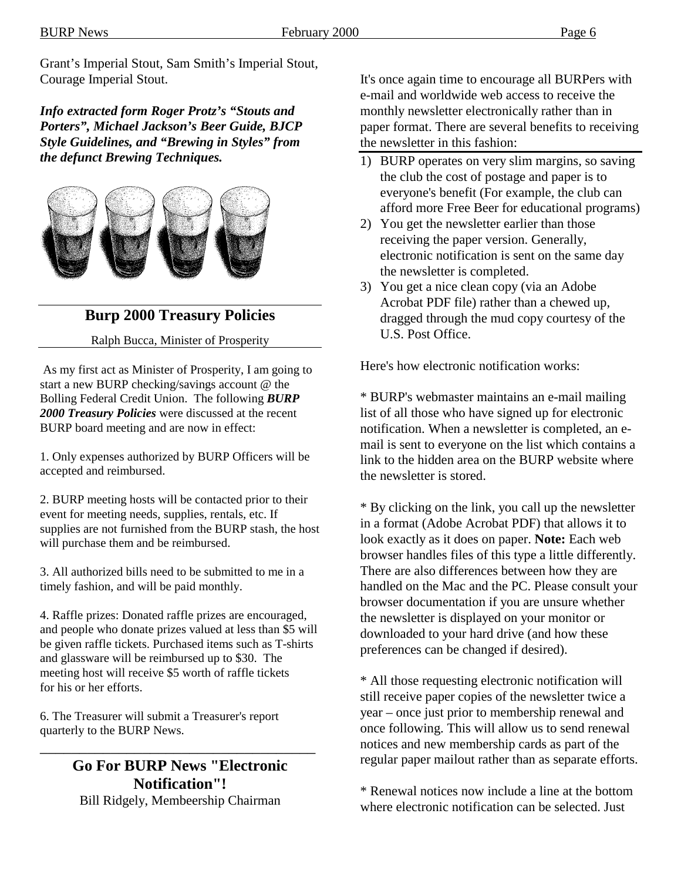Grant's Imperial Stout, Sam Smith's Imperial Stout, Courage Imperial Stout.

*Info extracted form Roger Protz's "Stouts and Porters", Michael Jackson's Beer Guide, BJCP Style Guidelines, and "Brewing in Styles" from the defunct Brewing Techniques.*



## **Burp 2000 Treasury Policies**

#### Ralph Bucca, Minister of Prosperity

 As my first act as Minister of Prosperity, I am going to start a new BURP checking/savings account @ the Bolling Federal Credit Union. The following *BURP 2000 Treasury Policies* were discussed at the recent BURP board meeting and are now in effect:

1. Only expenses authorized by BURP Officers will be accepted and reimbursed.

2. BURP meeting hosts will be contacted prior to their event for meeting needs, supplies, rentals, etc. If supplies are not furnished from the BURP stash, the host will purchase them and be reimbursed.

3. All authorized bills need to be submitted to me in a timely fashion, and will be paid monthly.

4. Raffle prizes: Donated raffle prizes are encouraged, and people who donate prizes valued at less than \$5 will be given raffle tickets. Purchased items such as T-shirts and glassware will be reimbursed up to \$30. The meeting host will receive \$5 worth of raffle tickets for his or her efforts.

6. The Treasurer will submit a Treasurer's report quarterly to the BURP News.

# **Go For BURP News "Electronic Notification"!**

\_\_\_\_\_\_\_\_\_\_\_\_\_\_\_\_\_\_\_\_\_\_\_\_\_\_\_\_\_\_\_\_\_\_\_

Bill Ridgely, Membeership Chairman

It's once again time to encourage all BURPers with e-mail and worldwide web access to receive the monthly newsletter electronically rather than in paper format. There are several benefits to receiving the newsletter in this fashion:

- 1) BURP operates on very slim margins, so saving the club the cost of postage and paper is to everyone's benefit (For example, the club can afford more Free Beer for educational programs)
- 2) You get the newsletter earlier than those receiving the paper version. Generally, electronic notification is sent on the same day the newsletter is completed.
- 3) You get a nice clean copy (via an Adobe Acrobat PDF file) rather than a chewed up, dragged through the mud copy courtesy of the U.S. Post Office.

Here's how electronic notification works:

\* BURP's webmaster maintains an e-mail mailing list of all those who have signed up for electronic notification. When a newsletter is completed, an email is sent to everyone on the list which contains a link to the hidden area on the BURP website where the newsletter is stored.

\* By clicking on the link, you call up the newsletter in a format (Adobe Acrobat PDF) that allows it to look exactly as it does on paper. **Note:** Each web browser handles files of this type a little differently. There are also differences between how they are handled on the Mac and the PC. Please consult your browser documentation if you are unsure whether the newsletter is displayed on your monitor or downloaded to your hard drive (and how these preferences can be changed if desired).

\* All those requesting electronic notification will still receive paper copies of the newsletter twice a year – once just prior to membership renewal and once following. This will allow us to send renewal notices and new membership cards as part of the regular paper mailout rather than as separate efforts.

\* Renewal notices now include a line at the bottom where electronic notification can be selected. Just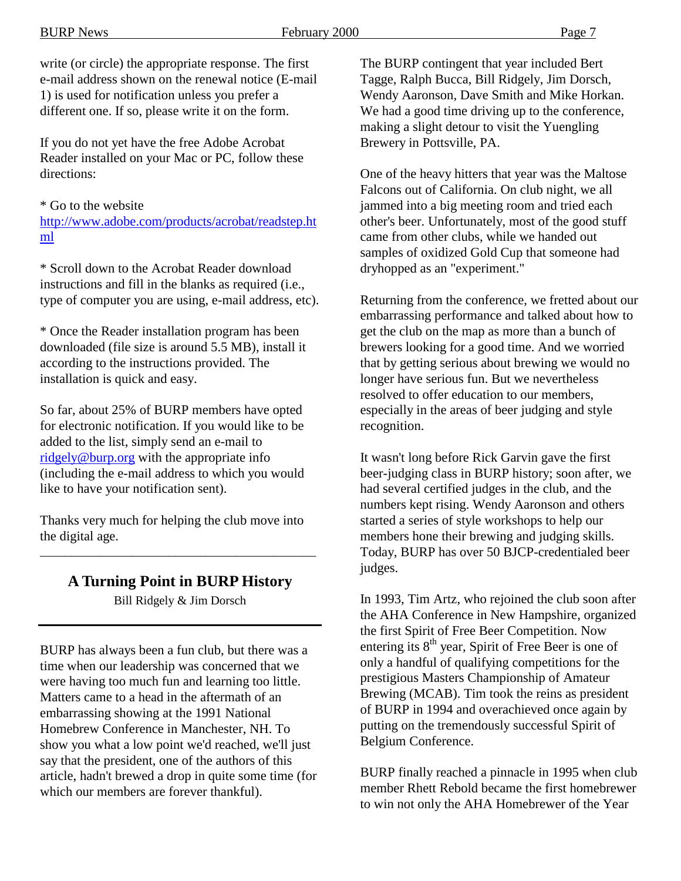write (or circle) the appropriate response. The first e-mail address shown on the renewal notice (E-mail 1) is used for notification unless you prefer a different one. If so, please write it on the form.

If you do not yet have the free Adobe Acrobat Reader installed on your Mac or PC, follow these directions:

\* Go to the website

http://www.adobe.com/products/acrobat/readstep.ht ml

\* Scroll down to the Acrobat Reader download instructions and fill in the blanks as required (i.e., type of computer you are using, e-mail address, etc).

\* Once the Reader installation program has been downloaded (file size is around 5.5 MB), install it according to the instructions provided. The installation is quick and easy.

So far, about 25% of BURP members have opted for electronic notification. If you would like to be added to the list, simply send an e-mail to ridgely@burp.org with the appropriate info (including the e-mail address to which you would like to have your notification sent).

Thanks very much for helping the club move into the digital age.

#### **A Turning Point in BURP History**

\_\_\_\_\_\_\_\_\_\_\_\_\_\_\_\_\_\_\_\_\_\_\_\_\_\_\_\_\_\_\_\_\_\_\_\_\_\_\_\_\_\_\_\_\_

Bill Ridgely & Jim Dorsch

BURP has always been a fun club, but there was a time when our leadership was concerned that we were having too much fun and learning too little. Matters came to a head in the aftermath of an embarrassing showing at the 1991 National Homebrew Conference in Manchester, NH. To show you what a low point we'd reached, we'll just say that the president, one of the authors of this article, hadn't brewed a drop in quite some time (for which our members are forever thankful).

The BURP contingent that year included Bert Tagge, Ralph Bucca, Bill Ridgely, Jim Dorsch, Wendy Aaronson, Dave Smith and Mike Horkan. We had a good time driving up to the conference, making a slight detour to visit the Yuengling Brewery in Pottsville, PA.

One of the heavy hitters that year was the Maltose Falcons out of California. On club night, we all jammed into a big meeting room and tried each other's beer. Unfortunately, most of the good stuff came from other clubs, while we handed out samples of oxidized Gold Cup that someone had dryhopped as an "experiment."

Returning from the conference, we fretted about our embarrassing performance and talked about how to get the club on the map as more than a bunch of brewers looking for a good time. And we worried that by getting serious about brewing we would no longer have serious fun. But we nevertheless resolved to offer education to our members, especially in the areas of beer judging and style recognition.

It wasn't long before Rick Garvin gave the first beer-judging class in BURP history; soon after, we had several certified judges in the club, and the numbers kept rising. Wendy Aaronson and others started a series of style workshops to help our members hone their brewing and judging skills. Today, BURP has over 50 BJCP-credentialed beer judges.

In 1993, Tim Artz, who rejoined the club soon after the AHA Conference in New Hampshire, organized the first Spirit of Free Beer Competition. Now entering its  $8<sup>th</sup>$  year, Spirit of Free Beer is one of only a handful of qualifying competitions for the prestigious Masters Championship of Amateur Brewing (MCAB). Tim took the reins as president of BURP in 1994 and overachieved once again by putting on the tremendously successful Spirit of Belgium Conference.

BURP finally reached a pinnacle in 1995 when club member Rhett Rebold became the first homebrewer to win not only the AHA Homebrewer of the Year